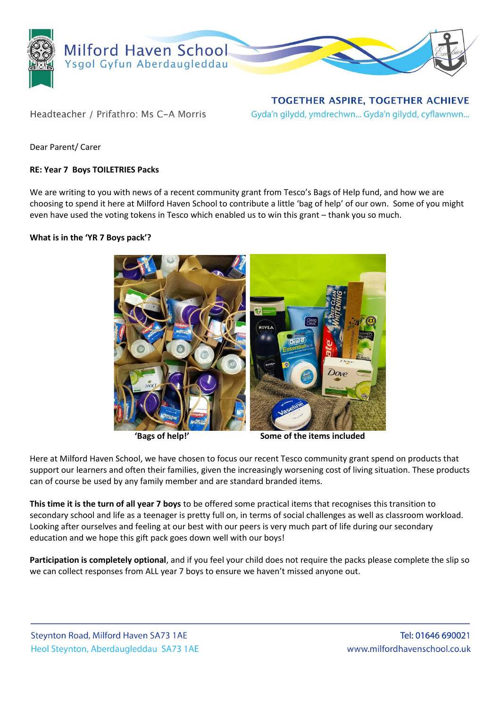

Headteacher / Prifathro: Ms C-A Morris

**TOGETHER ASPIRE, TOGETHER ACHIEVE** Gyda'n gilydd, ymdrechwn... Gyda'n gilydd, cyflawnwn...

Dear Parent/ Carer

## **RE: Year 7 Boys TOILETRIES Packs**

We are writing to you with news of a recent community grant from Tesco's Bags of Help fund, and how we are choosing to spend it here at Milford Haven School to contribute a little 'bag of help' of our own. Some of you might even have used the voting tokens in Tesco which enabled us to win this grant – thank you so much.

## **What is in the 'YR 7 Boys pack'?**



**'Bags of help!' Some of the items included**

Here at Milford Haven School, we have chosen to focus our recent Tesco community grant spend on products that support our learners and often their families, given the increasingly worsening cost of living situation. These products can of course be used by any family member and are standard branded items.

**This time it is the turn of all year 7 boys** to be offered some practical items that recognises this transition to secondary school and life as a teenager is pretty full on, in terms of social challenges as well as classroom workload. Looking after ourselves and feeling at our best with our peers is very much part of life during our secondary education and we hope this gift pack goes down well with our boys!

**Participation is completely optional**, and if you feel your child does not require the packs please complete the slip so we can collect responses from ALL year 7 boys to ensure we haven't missed anyone out.